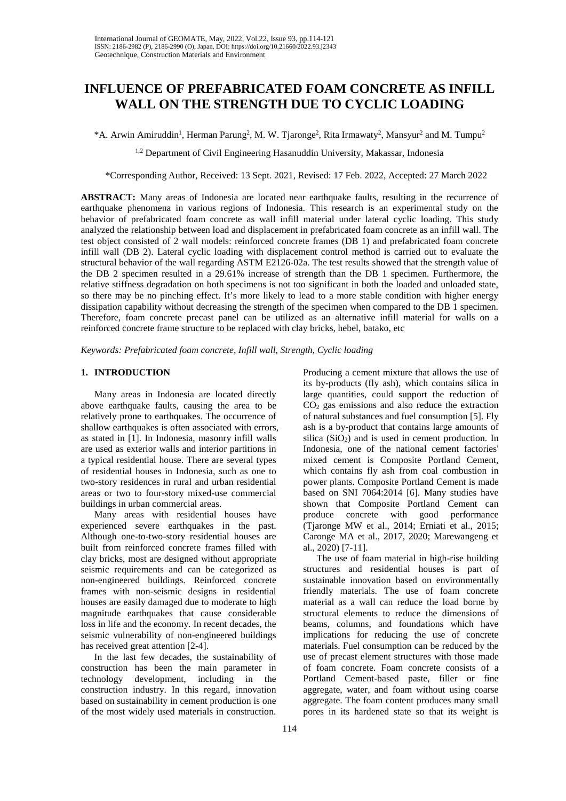# **INFLUENCE OF PREFABRICATED FOAM CONCRETE AS INFILL WALL ON THE STRENGTH DUE TO CYCLIC LOADING**

 $*A$ . Arwin Amiruddin<sup>1</sup>, Herman Parung<sup>2</sup>, M. W. Tjaronge<sup>2</sup>, Rita Irmawaty<sup>2</sup>, Mansyur<sup>2</sup> and M. Tumpu<sup>2</sup>

<sup>1,2</sup> Department of Civil Engineering Hasanuddin University, Makassar, Indonesia

\*Corresponding Author, Received: 13 Sept. 2021, Revised: 17 Feb. 2022, Accepted: 27 March 2022

**ABSTRACT:** Many areas of Indonesia are located near earthquake faults, resulting in the recurrence of earthquake phenomena in various regions of Indonesia. This research is an experimental study on the behavior of prefabricated foam concrete as wall infill material under lateral cyclic loading. This study analyzed the relationship between load and displacement in prefabricated foam concrete as an infill wall. The test object consisted of 2 wall models: reinforced concrete frames (DB 1) and prefabricated foam concrete infill wall (DB 2). Lateral cyclic loading with displacement control method is carried out to evaluate the structural behavior of the wall regarding ASTM E2126-02a. The test results showed that the strength value of the DB 2 specimen resulted in a 29.61% increase of strength than the DB 1 specimen. Furthermore, the relative stiffness degradation on both specimens is not too significant in both the loaded and unloaded state, so there may be no pinching effect. It's more likely to lead to a more stable condition with higher energy dissipation capability without decreasing the strength of the specimen when compared to the DB 1 specimen. Therefore, foam concrete precast panel can be utilized as an alternative infill material for walls on a reinforced concrete frame structure to be replaced with clay bricks, hebel, batako, etc

*Keywords: Prefabricated foam concrete, Infill wall, Strength, Cyclic loading*

# **1. INTRODUCTION**

Many areas in Indonesia are located directly above earthquake faults, causing the area to be relatively prone to earthquakes. The occurrence of shallow earthquakes is often associated with errors, as stated in [1]. In Indonesia, masonry infill walls are used as exterior walls and interior partitions in a typical residential house. There are several types of residential houses in Indonesia, such as one to two-story residences in rural and urban residential areas or two to four-story mixed-use commercial buildings in urban commercial areas.

Many areas with residential houses have experienced severe earthquakes in the past. Although one-to-two-story residential houses are built from reinforced concrete frames filled with clay bricks, most are designed without appropriate seismic requirements and can be categorized as non-engineered buildings. Reinforced concrete frames with non-seismic designs in residential houses are easily damaged due to moderate to high magnitude earthquakes that cause considerable loss in life and the economy. In recent decades, the seismic vulnerability of non-engineered buildings has received great attention [2-4].

In the last few decades, the sustainability of construction has been the main parameter in technology development, including in the construction industry. In this regard, innovation based on sustainability in cement production is one of the most widely used materials in construction.

Producing a cement mixture that allows the use of its by-products (fly ash), which contains silica in large quantities, could support the reduction of CO2 gas emissions and also reduce the extraction of natural substances and fuel consumption [5]. Fly ash is a by-product that contains large amounts of silica  $(SiO<sub>2</sub>)$  and is used in cement production. In Indonesia, one of the national cement factories' mixed cement is Composite Portland Cement, which contains fly ash from coal combustion in power plants. Composite Portland Cement is made based on SNI 7064:2014 [6]. Many studies have shown that Composite Portland Cement can produce concrete with good performance (Tjaronge MW et al., 2014; Erniati et al., 2015; Caronge MA et al., 2017, 2020; Marewangeng et al., 2020) [7-11].

The use of foam material in high-rise building structures and residential houses is part of sustainable innovation based on environmentally friendly materials. The use of foam concrete material as a wall can reduce the load borne by structural elements to reduce the dimensions of beams, columns, and foundations which have implications for reducing the use of concrete materials. Fuel consumption can be reduced by the use of precast element structures with those made of foam concrete. Foam concrete consists of a Portland Cement-based paste, filler or fine aggregate, water, and foam without using coarse aggregate. The foam content produces many small pores in its hardened state so that its weight is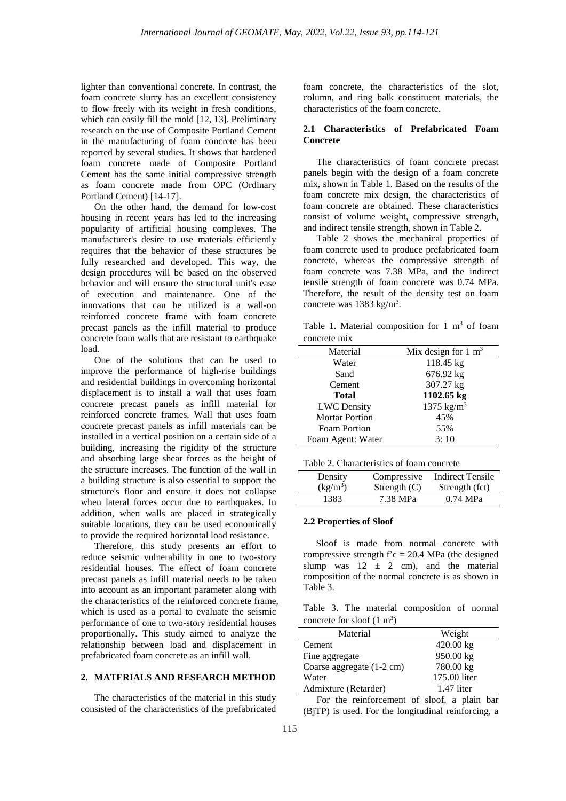lighter than conventional concrete. In contrast, the foam concrete slurry has an excellent consistency to flow freely with its weight in fresh conditions, which can easily fill the mold [12, 13]. Preliminary research on the use of Composite Portland Cement in the manufacturing of foam concrete has been reported by several studies. It shows that hardened foam concrete made of Composite Portland Cement has the same initial compressive strength as foam concrete made from OPC (Ordinary Portland Cement) [14-17].

On the other hand, the demand for low-cost housing in recent years has led to the increasing popularity of artificial housing complexes. The manufacturer's desire to use materials efficiently requires that the behavior of these structures be fully researched and developed. This way, the design procedures will be based on the observed behavior and will ensure the structural unit's ease of execution and maintenance. One of the innovations that can be utilized is a wall-on reinforced concrete frame with foam concrete precast panels as the infill material to produce concrete foam walls that are resistant to earthquake load.

One of the solutions that can be used to improve the performance of high-rise buildings and residential buildings in overcoming horizontal displacement is to install a wall that uses foam concrete precast panels as infill material for reinforced concrete frames. Wall that uses foam concrete precast panels as infill materials can be installed in a vertical position on a certain side of a building, increasing the rigidity of the structure and absorbing large shear forces as the height of the structure increases. The function of the wall in a building structure is also essential to support the structure's floor and ensure it does not collapse when lateral forces occur due to earthquakes. In addition, when walls are placed in strategically suitable locations, they can be used economically to provide the required horizontal load resistance.

Therefore, this study presents an effort to reduce seismic vulnerability in one to two-story residential houses. The effect of foam concrete precast panels as infill material needs to be taken into account as an important parameter along with the characteristics of the reinforced concrete frame, which is used as a portal to evaluate the seismic performance of one to two-story residential houses proportionally. This study aimed to analyze the relationship between load and displacement in prefabricated foam concrete as an infill wall.

#### **2. MATERIALS AND RESEARCH METHOD**

The characteristics of the material in this study consisted of the characteristics of the prefabricated foam concrete, the characteristics of the slot, column, and ring balk constituent materials, the characteristics of the foam concrete.

# **2.1 Characteristics of Prefabricated Foam Concrete**

The characteristics of foam concrete precast panels begin with the design of a foam concrete mix, shown in Table 1. Based on the results of the foam concrete mix design, the characteristics of foam concrete are obtained. These characteristics consist of volume weight, compressive strength, and indirect tensile strength, shown in Table 2.

Table 2 shows the mechanical properties of foam concrete used to produce prefabricated foam concrete, whereas the compressive strength of foam concrete was 7.38 MPa, and the indirect tensile strength of foam concrete was 0.74 MPa. Therefore, the result of the density test on foam concrete was  $1383 \text{ kg/m}^3$ .

Table 1. Material composition for 1  $m<sup>3</sup>$  of foam concrete mix

| Material              | Mix design for $1 \text{ m}^3$ |
|-----------------------|--------------------------------|
| Water                 | 118.45 kg                      |
| Sand                  | 676.92 kg                      |
| Cement                | 307.27 kg                      |
| <b>Total</b>          | 1102.65 kg                     |
| <b>LWC</b> Density    | 1375 $\text{kg/m}^3$           |
| <b>Mortar Portion</b> | 45%                            |
| <b>Foam Portion</b>   | 55%                            |
| Foam Agent: Water     | 3:10                           |

| Table 2. Characteristics of foam concrete |
|-------------------------------------------|
|-------------------------------------------|

| Density    | Compressive    | Indirect Tensile |
|------------|----------------|------------------|
| $(kg/m^3)$ | Strength $(C)$ | Strength (fct)   |
| 1383       | 7.38 MPa       | $0.74$ MPa       |

#### **2.2 Properties of Sloof**

Sloof is made from normal concrete with compressive strength  $f'c = 20.4$  MPa (the designed slump was  $12 \pm 2$  cm), and the material composition of the normal concrete is as shown in Table 3.

Table 3. The material composition of normal concrete for sloof  $(1 \text{ m}^3)$ 

| Material                  | Weight       |
|---------------------------|--------------|
| Cement                    | $420.00$ kg  |
| Fine aggregate            | 950.00 kg    |
| Coarse aggregate (1-2 cm) | 780.00 kg    |
| Water                     | 175.00 liter |
| Admixture (Retarder)      | $1.47$ liter |

For the reinforcement of sloof, a plain bar (BjTP) is used. For the longitudinal reinforcing, a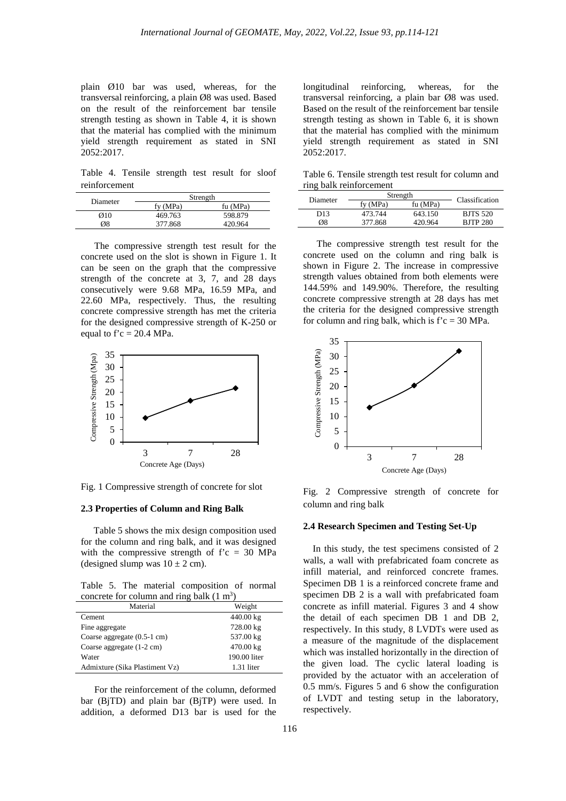plain Ø10 bar was used, whereas, for the transversal reinforcing, a plain Ø8 was used. Based on the result of the reinforcement bar tensile strength testing as shown in Table 4, it is shown that the material has complied with the minimum yield strength requirement as stated in SNI 2052:2017.

Table 4. Tensile strength test result for sloof reinforcement

| Diameter         | Strength |          |  |
|------------------|----------|----------|--|
|                  | fy (MPa) | fu (MPa) |  |
| $\varnothing$ 10 | 469.763  | 598.879  |  |
| Ø8               | 377.868  | 420.964  |  |

The compressive strength test result for the concrete used on the slot is shown in Figure 1. It can be seen on the graph that the compressive strength of the concrete at 3, 7, and 28 days consecutively were 9.68 MPa, 16.59 MPa, and 22.60 MPa, respectively. Thus, the resulting concrete compressive strength has met the criteria for the designed compressive strength of K-250 or equal to  $f'c = 20.4 \text{ MPa}$ .



Fig. 1 Compressive strength of concrete for slot

#### **2.3 Properties of Column and Ring Balk**

Table 5 shows the mix design composition used for the column and ring balk, and it was designed with the compressive strength of  $\mathbf{f}'\mathbf{c} = 30$  MPa (designed slump was  $10 \pm 2$  cm).

Table 5. The material composition of normal concrete for column and ring balk  $(1 \text{ m}^3)$ 

| Material                              | Weight       |
|---------------------------------------|--------------|
| Cement                                | 440.00 kg    |
| Fine aggregate                        | 728.00 kg    |
| Coarse aggregate $(0.5-1 \text{ cm})$ | 537.00 kg    |
| Coarse aggregate (1-2 cm)             | 470.00 kg    |
| Water                                 | 190.00 liter |
| Admixture (Sika Plastiment Vz)        | 1.31 liter   |

For the reinforcement of the column, deformed bar (BjTD) and plain bar (BjTP) were used. In addition, a deformed D13 bar is used for the longitudinal reinforcing, whereas, for the transversal reinforcing, a plain bar Ø8 was used. Based on the result of the reinforcement bar tensile strength testing as shown in Table 6, it is shown that the material has complied with the minimum yield strength requirement as stated in SNI 2052:2017.

Table 6. Tensile strength test result for column and ring balk reinforcement

| Diameter | Strength |          | Classification  |
|----------|----------|----------|-----------------|
|          | fy (MPa) | fu (MPa) |                 |
| D13      | 473.744  | 643.150  | <b>BJTS 520</b> |
| Ø8       | 377.868  | 420.964  | <b>BJTP 280</b> |

The compressive strength test result for the concrete used on the column and ring balk is shown in Figure 2. The increase in compressive strength values obtained from both elements were 144.59% and 149.90%. Therefore, the resulting concrete compressive strength at 28 days has met the criteria for the designed compressive strength for column and ring balk, which is  $\mathbf{f}' = 30 \text{ MPa}$ .



Fig. 2 Compressive strength of concrete for column and ring balk

# **2.4 Research Specimen and Testing Set-Up**

In this study, the test specimens consisted of 2 walls, a wall with prefabricated foam concrete as infill material, and reinforced concrete frames. Specimen DB 1 is a reinforced concrete frame and specimen DB 2 is a wall with prefabricated foam concrete as infill material. Figures 3 and 4 show the detail of each specimen DB 1 and DB 2, respectively. In this study, 8 LVDTs were used as a measure of the magnitude of the displacement which was installed horizontally in the direction of the given load. The cyclic lateral loading is provided by the actuator with an acceleration of 0.5 mm/s. Figures 5 and 6 show the configuration of LVDT and testing setup in the laboratory, respectively.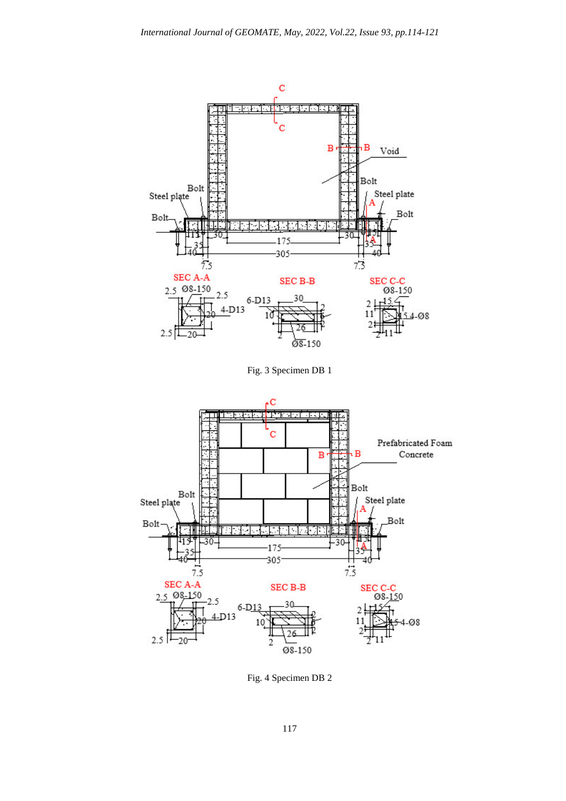

Fig. 3 Specimen DB 1



Fig. 4 Specimen DB 2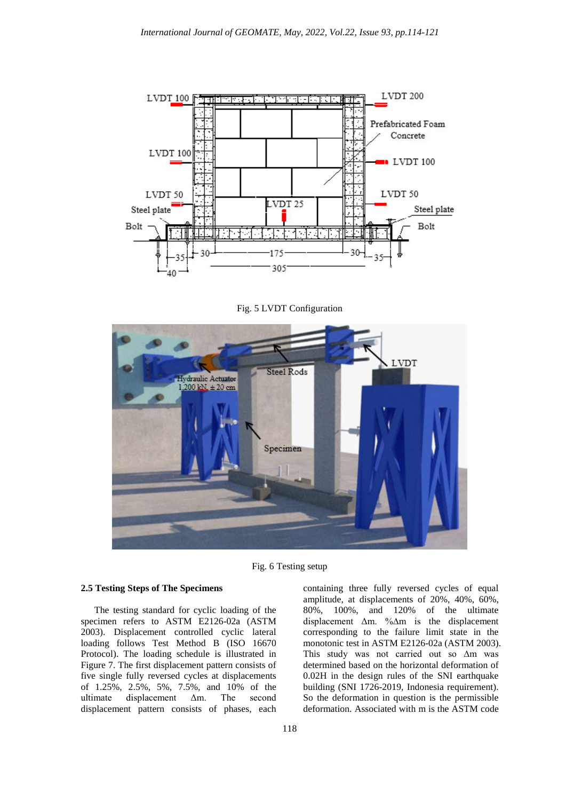

Fig. 5 LVDT Configuration



Fig. 6 Testing setup

# **2.5 Testing Steps of The Specimens**

The testing standard for cyclic loading of the specimen refers to ASTM E2126-02a (ASTM 2003). Displacement controlled cyclic lateral loading follows Test Method B (ISO 16670 Protocol). The loading schedule is illustrated in Figure 7. The first displacement pattern consists of five single fully reversed cycles at displacements of 1.25%, 2.5%, 5%, 7.5%, and 10% of the ultimate displacement Δm. The second displacement pattern consists of phases, each

containing three fully reversed cycles of equal amplitude, at displacements of 20%, 40%, 60%, 80%, 100%, and 120% of the ultimate displacement Δm. %∆m is the displacement corresponding to the failure limit state in the monotonic test in ASTM E2126-02a (ASTM 2003). This study was not carried out so ∆m was determined based on the horizontal deformation of 0.02H in the design rules of the SNI earthquake building (SNI 1726-2019, Indonesia requirement). So the deformation in question is the permissible deformation. Associated with m is the ASTM code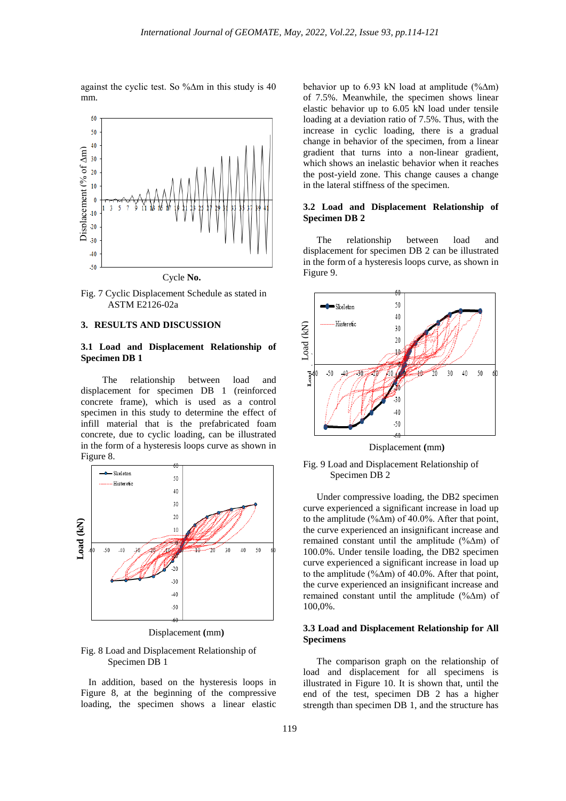against the cyclic test. So %∆m in this study is 40 mm.



Fig. 7 Cyclic Displacement Schedule as stated in ASTM E2126-02a

#### **3. RESULTS AND DISCUSSION**

# **3.1 Load and Displacement Relationship of Specimen DB 1**

The relationship between load and displacement for specimen DB 1 (reinforced concrete frame), which is used as a control specimen in this study to determine the effect of infill material that is the prefabricated foam concrete, due to cyclic loading, can be illustrated in the form of a hysteresis loops curve as shown in Figure 8.



Displacement **(**mm**)**

#### Fig. 8 Load and Displacement Relationship of Specimen DB 1

In addition, based on the hysteresis loops in Figure 8, at the beginning of the compressive loading, the specimen shows a linear elastic

behavior up to 6.93 kN load at amplitude (%∆m) of 7.5%. Meanwhile, the specimen shows linear elastic behavior up to 6.05 kN load under tensile loading at a deviation ratio of 7.5%. Thus, with the increase in cyclic loading, there is a gradual change in behavior of the specimen, from a linear gradient that turns into a non-linear gradient, which shows an inelastic behavior when it reaches the post-yield zone. This change causes a change in the lateral stiffness of the specimen.

## **3.2 Load and Displacement Relationship of Specimen DB 2**

The relationship between load and displacement for specimen DB 2 can be illustrated in the form of a hysteresis loops curve, as shown in Figure 9.



Displacement **(**mm**)**



Under compressive loading, the DB2 specimen curve experienced a significant increase in load up to the amplitude (%∆m) of 40.0%. After that point, the curve experienced an insignificant increase and remained constant until the amplitude (%∆m) of 100.0%. Under tensile loading, the DB2 specimen curve experienced a significant increase in load up to the amplitude (%∆m) of 40.0%. After that point, the curve experienced an insignificant increase and remained constant until the amplitude (%∆m) of 100,0%.

# **3.3 Load and Displacement Relationship for All Specimens**

The comparison graph on the relationship of load and displacement for all specimens is illustrated in Figure 10. It is shown that, until the end of the test, specimen DB 2 has a higher strength than specimen DB 1, and the structure has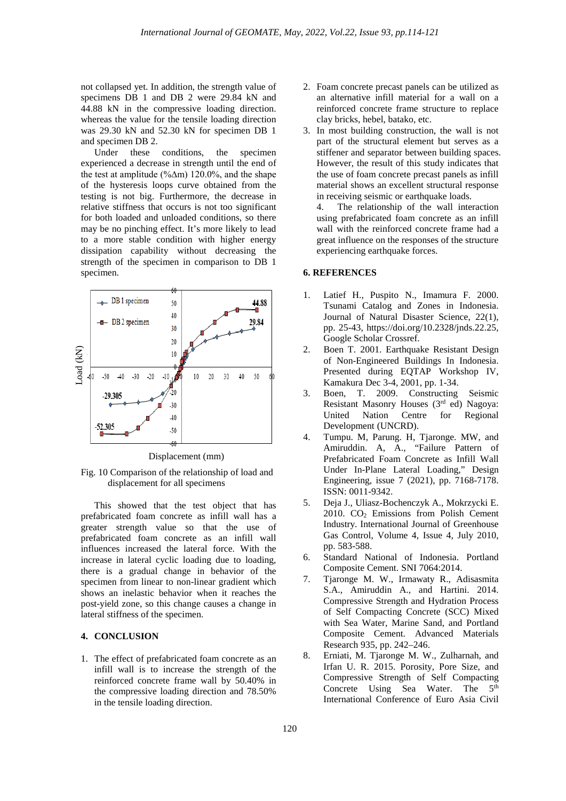not collapsed yet. In addition, the strength value of specimens DB 1 and DB 2 were 29.84 kN and 44.88 kN in the compressive loading direction. whereas the value for the tensile loading direction was 29.30 kN and 52.30 kN for specimen DB 1 and specimen DB 2.

Under these conditions, the specimen experienced a decrease in strength until the end of the test at amplitude (%∆m) 120.0%, and the shape of the hysteresis loops curve obtained from the testing is not big. Furthermore, the decrease in relative stiffness that occurs is not too significant for both loaded and unloaded conditions, so there may be no pinching effect. It's more likely to lead to a more stable condition with higher energy dissipation capability without decreasing the strength of the specimen in comparison to DB 1 specimen.



Displacement (mm)

Fig. 10 Comparison of the relationship of load and displacement for all specimens

This showed that the test object that has prefabricated foam concrete as infill wall has a greater strength value so that the use of prefabricated foam concrete as an infill wall influences increased the lateral force. With the increase in lateral cyclic loading due to loading, there is a gradual change in behavior of the specimen from linear to non-linear gradient which shows an inelastic behavior when it reaches the post-yield zone, so this change causes a change in lateral stiffness of the specimen.

# **4. CONCLUSION**

1. The effect of prefabricated foam concrete as an infill wall is to increase the strength of the reinforced concrete frame wall by 50.40% in the compressive loading direction and 78.50% in the tensile loading direction.

- 2. Foam concrete precast panels can be utilized as an alternative infill material for a wall on a reinforced concrete frame structure to replace clay bricks, hebel, batako, etc.
- 3. In most building construction, the wall is not part of the structural element but serves as a stiffener and separator between building spaces. However, the result of this study indicates that the use of foam concrete precast panels as infill material shows an excellent structural response in receiving seismic or earthquake loads.

4. The relationship of the wall interaction using prefabricated foam concrete as an infill wall with the reinforced concrete frame had a great influence on the responses of the structure experiencing earthquake forces.

#### **6. REFERENCES**

- 1. Latief H., Puspito N., Imamura F. 2000. Tsunami Catalog and Zones in Indonesia. Journal of Natural Disaster Science, 22(1), pp. 25-43, https://doi.org/10.2328/jnds.22.25, Google Scholar Crossref.
- 2. Boen T. 2001. Earthquake Resistant Design of Non-Engineered Buildings In Indonesia. Presented during EQTAP Workshop IV, Kamakura Dec 3-4, 2001, pp. 1-34.
- 3. Boen, T. 2009. Constructing Seismic Resistant Masonry Houses (3rd ed) Nagoya: United Nation Centre for Regional Development (UNCRD).
- 4. Tumpu. M, Parung. H, Tjaronge. MW, and Amiruddin. A, A., "Failure Pattern of Prefabricated Foam Concrete as Infill Wall Under In-Plane Lateral Loading," Design Engineering, issue 7 (2021), pp. 7168-7178. ISSN: 0011-9342.
- 5. Deja J., Uliasz-Bochenczyk A., Mokrzycki E. 2010. CO2 Emissions from Polish Cement Industry. International Journal of Greenhouse Gas Control, Volume 4, Issue 4, July 2010, pp. 583-588.
- 6. Standard National of Indonesia. Portland Composite Cement. SNI 7064:2014.
- 7. Tjaronge M. W., Irmawaty R., Adisasmita S.A., Amiruddin A., and Hartini. 2014. Compressive Strength and Hydration Process of Self Compacting Concrete (SCC) Mixed with Sea Water, Marine Sand, and Portland Composite Cement. Advanced Materials Research 935, pp. 242–246.
- 8. Erniati, M. Tjaronge M. W., Zulharnah, and Irfan U. R. 2015. Porosity, Pore Size, and Compressive Strength of Self Compacting Concrete Using Sea Water. The  $5<sup>th</sup>$ International Conference of Euro Asia Civil